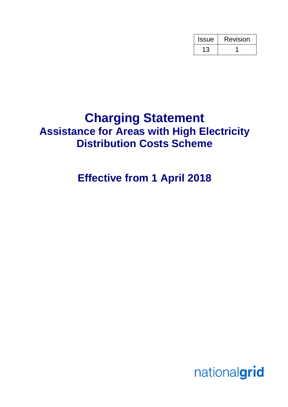| <b>Issue</b> | Revision |
|--------------|----------|
|              |          |

# **Charging Statement Assistance for Areas with High Electricity Distribution Costs Scheme**

# **Effective from 1 April 2018**

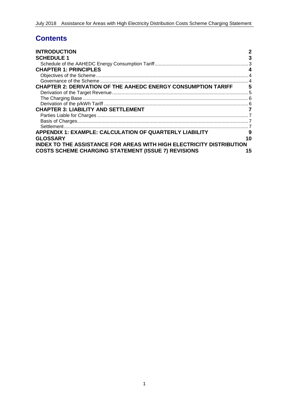# **Contents**

| <b>INTRODUCTION</b>                                                         | $\mathbf 2$ |
|-----------------------------------------------------------------------------|-------------|
| <b>SCHEDULE 1</b>                                                           | 3           |
|                                                                             |             |
| <b>CHAPTER 1: PRINCIPLES</b>                                                |             |
|                                                                             |             |
|                                                                             |             |
| <b>CHAPTER 2: DERIVATION OF THE AAHEDC ENERGY CONSUMPTION TARIFF</b>        | 5           |
|                                                                             |             |
|                                                                             |             |
|                                                                             |             |
| <b>CHAPTER 3: LIABILITY AND SETTLEMENT</b>                                  |             |
|                                                                             |             |
|                                                                             |             |
|                                                                             |             |
| <b>APPENDIX 1: EXAMPLE: CALCULATION OF QUARTERLY LIABILITY</b>              | 9           |
| <b>GLOSSARY</b>                                                             | 10          |
| <b>INDEX TO THE ASSISTANCE FOR AREAS WITH HIGH ELECTRICITY DISTRIBUTION</b> |             |
| <b>COSTS SCHEME CHARGING STATEMENT (ISSUE 7) REVISIONS</b>                  | 15          |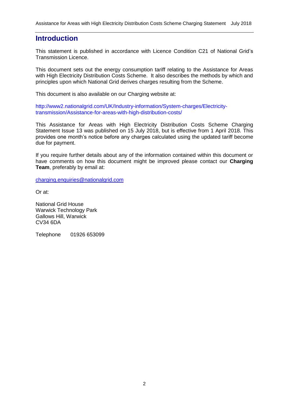### **Introduction**

This statement is published in accordance with Licence Condition C21 of National Grid's Transmission Licence.

This document sets out the energy consumption tariff relating to the Assistance for Areas with High Electricity Distribution Costs Scheme. It also describes the methods by which and principles upon which National Grid derives charges resulting from the Scheme.

This document is also available on our Charging website at:

http://www2.nationalgrid.com/UK/Industry-information/System-charges/Electricitytransmission/Assistance-for-areas-with-high-distribution-costs/

This Assistance for Areas with High Electricity Distribution Costs Scheme Charging Statement Issue 13 was published on 15 July 2018, but is effective from 1 April 2018. This provides one month's notice before any charges calculated using the updated tariff become due for payment.

If you require further details about any of the information contained within this document or have comments on how this document might be improved please contact our **Charging Team**, preferably by email at:

[charging.enquiries@nationalgrid.com](mailto:charging.enquiries@nationalgrid.com)

Or at:

National Grid House Warwick Technology Park Gallows Hill, Warwick CV34 6DA

Telephone 01926 653099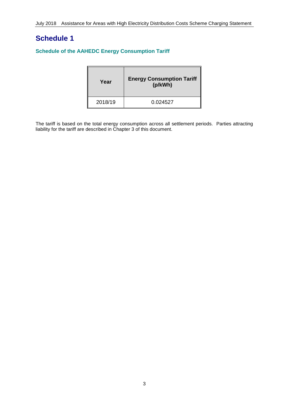# **Schedule 1**

#### **Schedule of the AAHEDC Energy Consumption Tariff**

| Year    | <b>Energy Consumption Tariff</b><br>(p/kWh) |
|---------|---------------------------------------------|
| 2018/19 | 0.024527                                    |

The tariff is based on the total energy consumption across all settlement periods. Parties attracting liability for the tariff are described in Chapter 3 of this document.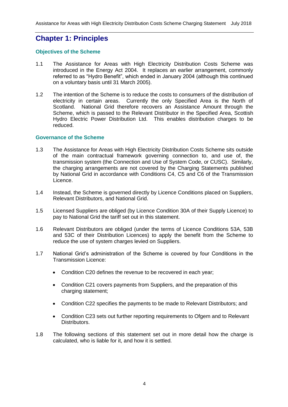## **Chapter 1: Principles**

#### **Objectives of the Scheme**

- 1.1 The Assistance for Areas with High Electricity Distribution Costs Scheme was introduced in the Energy Act 2004. It replaces an earlier arrangement, commonly referred to as "Hydro Benefit", which ended in January 2004 (although this continued on a voluntary basis until 31 March 2005).
- 1.2 The intention of the Scheme is to reduce the costs to consumers of the distribution of electricity in certain areas. Currently the only Specified Area is the North of Scotland. National Grid therefore recovers an Assistance Amount through the Scheme, which is passed to the Relevant Distributor in the Specified Area, Scottish Hydro Electric Power Distribution Ltd. This enables distribution charges to be reduced.

#### **Governance of the Scheme**

- 1.3 The Assistance for Areas with High Electricity Distribution Costs Scheme sits outside of the main contractual framework governing connection to, and use of, the transmission system (the Connection and Use of System Code, or CUSC). Similarly, the charging arrangements are not covered by the Charging Statements published by National Grid in accordance with Conditions C4, C5 and C6 of the Transmission Licence.
- 1.4 Instead, the Scheme is governed directly by Licence Conditions placed on Suppliers, Relevant Distributors, and National Grid.
- 1.5 Licensed Suppliers are obliged (by Licence Condition 30A of their Supply Licence) to pay to National Grid the tariff set out in this statement.
- 1.6 Relevant Distributors are obliged (under the terms of Licence Conditions 53A, 53B and 53C of their Distribution Licences) to apply the benefit from the Scheme to reduce the use of system charges levied on Suppliers.
- 1.7 National Grid's administration of the Scheme is covered by four Conditions in the Transmission Licence:
	- Condition C20 defines the revenue to be recovered in each year;
	- Condition C21 covers payments from Suppliers, and the preparation of this charging statement;
	- Condition C22 specifies the payments to be made to Relevant Distributors; and
	- Condition C23 sets out further reporting requirements to Ofgem and to Relevant Distributors.
- 1.8 The following sections of this statement set out in more detail how the charge is calculated, who is liable for it, and how it is settled.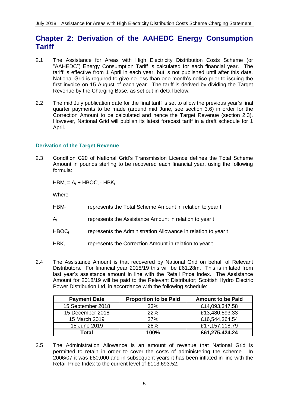## **Chapter 2: Derivation of the AAHEDC Energy Consumption Tariff**

- 2.1 The Assistance for Areas with High Electricity Distribution Costs Scheme (or "AAHEDC") Energy Consumption Tariff is calculated for each financial year. The tariff is effective from 1 April in each year, but is not published until after this date. National Grid is required to give no less than one month's notice prior to issuing the first invoice on 15 August of each year. The tariff is derived by dividing the Target Revenue by the Charging Base, as set out in detail below.
- 2.2 The mid July publication date for the final tariff is set to allow the previous year's final quarter payments to be made (around mid June, see section 3.6) in order for the Correction Amount to be calculated and hence the Target Revenue (section 2.3). However, National Grid will publish its latest forecast tariff in a draft schedule for 1 April.

#### **Derivation of the Target Revenue**

2.3 Condition C20 of National Grid's Transmission Licence defines the Total Scheme Amount in pounds sterling to be recovered each financial year, using the following formula:

 $HBM_t = A_t + HBOC_t - HBK_t$ 

Where

- $HBM_t$  represents the Total Scheme Amount in relation to year t
- $A_t$  represents the Assistance Amount in relation to year t
- $HBOC<sub>t</sub>$  represents the Administration Allowance in relation to year t
- HBK<sub>t</sub> represents the Correction Amount in relation to year t
- 2.4 The Assistance Amount is that recovered by National Grid on behalf of Relevant Distributors. For financial year 2018/19 this will be £61.28m. This is inflated from last year's assistance amount in line with the Retail Price Index. The Assistance Amount for 2018/19 will be paid to the Relevant Distributor; Scottish Hydro Electric Power Distribution Ltd, in accordance with the following schedule:

| <b>Payment Date</b> | <b>Proportion to be Paid</b> | <b>Amount to be Paid</b> |
|---------------------|------------------------------|--------------------------|
| 15 September 2018   | 23%                          | £14,093,347.58           |
| 15 December 2018    | <b>22%</b>                   | £13,480,593.33           |
| 15 March 2019       | 27%                          | £16,544,364.54           |
| 15 June 2019        | <b>28%</b>                   | £17,157,118.79           |
| Total               | 100%                         | £61,275,424.24           |

2.5 The Administration Allowance is an amount of revenue that National Grid is permitted to retain in order to cover the costs of administering the scheme. In 2006/07 it was £80,000 and in subsequent years it has been inflated in line with the Retail Price Index to the current level of £113,693.52.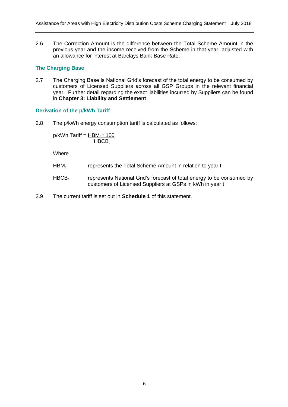2.6 The Correction Amount is the difference between the Total Scheme Amount in the previous year and the income received from the Scheme in that year, adjusted with an allowance for interest at Barclays Bank Base Rate.

#### **The Charging Base**

2.7 The Charging Base is National Grid's forecast of the total energy to be consumed by customers of Licensed Suppliers across all GSP Groups in the relevant financial year. Further detail regarding the exact liabilities incurred by Suppliers can be found in **Chapter 3: Liability and Settlement**.

#### **Derivation of the p/kWh Tariff**

2.8 The p/kWh energy consumption tariff is calculated as follows:

 $p/kWh$  Tariff = HBM<sub>t</sub>  $*$  100  $HBCB<sub>t</sub>$ 

**Where** 

- HBM<sub>t</sub> represents the Total Scheme Amount in relation to year t
- $HBCB<sub>t</sub>$  represents National Grid's forecast of total energy to be consumed by customers of Licensed Suppliers at GSPs in kWh in year t
- 2.9 The current tariff is set out in **Schedule 1** of this statement.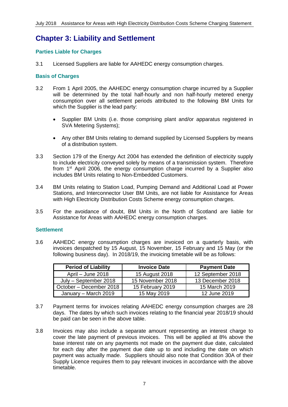# **Chapter 3: Liability and Settlement**

#### **Parties Liable for Charges**

3.1 Licensed Suppliers are liable for AAHEDC energy consumption charges.

#### **Basis of Charges**

- 3.2 From 1 April 2005, the AAHEDC energy consumption charge incurred by a Supplier will be determined by the total half-hourly and non half-hourly metered energy consumption over all settlement periods attributed to the following BM Units for which the Supplier is the lead party:
	- Supplier BM Units (i.e. those comprising plant and/or apparatus registered in SVA Metering Systems);
	- Any other BM Units relating to demand supplied by Licensed Suppliers by means of a distribution system.
- 3.3 Section 179 of the Energy Act 2004 has extended the definition of electricity supply to include electricity conveyed solely by means of a transmission system. Therefore from 1st April 2006, the energy consumption charge incurred by a Supplier also includes BM Units relating to Non-Embedded Customers.
- 3.4 BM Units relating to Station Load, Pumping Demand and Additional Load at Power Stations, and Interconnector User BM Units, are not liable for Assistance for Areas with High Electricity Distribution Costs Scheme energy consumption charges.
- 3.5 For the avoidance of doubt, BM Units in the North of Scotland are liable for Assistance for Areas with AAHEDC energy consumption charges.

#### **Settlement**

3.6 AAHEDC energy consumption charges are invoiced on a quarterly basis, with invoices despatched by 15 August, 15 November, 15 February and 15 May (or the following business day). In 2018/19, the invoicing timetable will be as follows:

| <b>Period of Liability</b> | <b>Invoice Date</b> | <b>Payment Date</b> |
|----------------------------|---------------------|---------------------|
| April – June 2018          | 15 August 2018      | 12 September 2018   |
| July - September 2018      | 15 November 2018    | 13 December 2018    |
| October - December 2018    | 15 February 2019    | 15 March 2019       |
| January - March 2019       | 15 May 2019         | 12 June 2019        |

- 3.7 Payment terms for invoices relating AAHEDC energy consumption charges are 28 days. The dates by which such invoices relating to the financial year 2018/19 should be paid can be seen in the above table.
- 3.8 Invoices may also include a separate amount representing an interest charge to cover the late payment of previous invoices. This will be applied at 8% above the base interest rate on any payments not made on the payment due date, calculated for each day after the payment due date up to and including the date on which payment was actually made. Suppliers should also note that Condition 30A of their Supply Licence requires them to pay relevant invoices in accordance with the above timetable.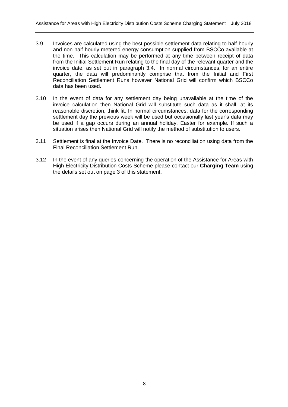- 3.9 Invoices are calculated using the best possible settlement data relating to half-hourly and non half-hourly metered energy consumption supplied from BSCCo available at the time. This calculation may be performed at any time between receipt of data from the Initial Settlement Run relating to the final day of the relevant quarter and the invoice date, as set out in paragraph 3.4. In normal circumstances, for an entire quarter, the data will predominantly comprise that from the Initial and First Reconciliation Settlement Runs however National Grid will confirm which BSCCo data has been used.
- 3.10 In the event of data for any settlement day being unavailable at the time of the invoice calculation then National Grid will substitute such data as it shall, at its reasonable discretion, think fit. In normal circumstances, data for the corresponding settlement day the previous week will be used but occasionally last year's data may be used if a gap occurs during an annual holiday, Easter for example. If such a situation arises then National Grid will notify the method of substitution to users.
- 3.11 Settlement is final at the Invoice Date. There is no reconciliation using data from the Final Reconciliation Settlement Run.
- 3.12 In the event of any queries concerning the operation of the Assistance for Areas with High Electricity Distribution Costs Scheme please contact our **Charging Team** using the details set out on page 3 of this statement.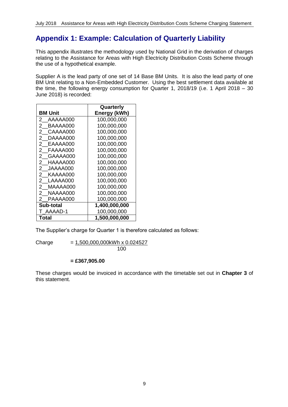# **Appendix 1: Example: Calculation of Quarterly Liability**

This appendix illustrates the methodology used by National Grid in the derivation of charges relating to the Assistance for Areas with High Electricity Distribution Costs Scheme through the use of a hypothetical example.

Supplier A is the lead party of one set of 14 Base BM Units. It is also the lead party of one BM Unit relating to a Non-Embedded Customer. Using the best settlement data available at the time, the following energy consumption for Quarter 1, 2018/19 (i.e. 1 April 2018 – 30 June 2018) is recorded:

|                            | Quarterly     |
|----------------------------|---------------|
| BM Unit                    | Energy (kWh)  |
| 2.<br>AAAAA000             | 100,000,000   |
| 2<br>BAAAA000              | 100,000,000   |
| $\mathbf{2}^-$<br>CAAAA000 | 100.000.000   |
| 2.<br>DAAAA000             | 100.000.000   |
| $^{2}$<br>EAAAA000         | 100,000,000   |
| 2<br>FAAAA000              | 100,000,000   |
| 2.<br>GAAAA000             | 100,000,000   |
| 2<br>HAAAA000              | 100,000,000   |
| $\mathbf{2}^-$<br>JAAAA000 | 100,000,000   |
| 2<br>KAAAA000              | 100,000,000   |
| 2<br>LAAAA000              | 100,000,000   |
| $^{2}$<br>MAAAA000         | 100,000,000   |
| 2.<br>NAAAA000             | 100,000,000   |
| PAAAA000<br>2              | 100,000,000   |
| Sub-total                  | 1,400,000,000 |
| T AAAAD-1                  | 100,000,000   |
| Total                      | 1,500,000,000 |

The Supplier's charge for Quarter 1 is therefore calculated as follows:

 $Change = 1,500,000,000kWh \times 0.024527$ 100

**= £367,905.00**

These charges would be invoiced in accordance with the timetable set out in **Chapter 3** of this statement.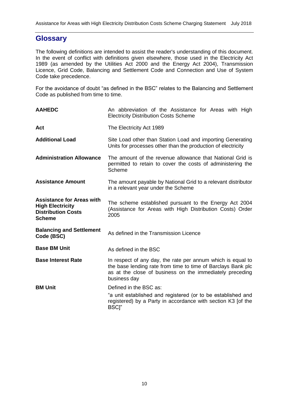### **Glossary**

The following definitions are intended to assist the reader's understanding of this document. In the event of conflict with definitions given elsewhere, those used in the Electricity Act 1989 (as amended by the Utilities Act 2000 and the Energy Act 2004), Transmission Licence, Grid Code, Balancing and Settlement Code and Connection and Use of System Code take precedence.

For the avoidance of doubt "as defined in the BSC" relates to the Balancing and Settlement Code as published from time to time.

| <b>AAHEDC</b>                                                                                             | An abbreviation of the Assistance for Areas with High<br><b>Electricity Distribution Costs Scheme</b>                                                                                                   |  |  |
|-----------------------------------------------------------------------------------------------------------|---------------------------------------------------------------------------------------------------------------------------------------------------------------------------------------------------------|--|--|
| Act                                                                                                       | The Electricity Act 1989                                                                                                                                                                                |  |  |
| <b>Additional Load</b>                                                                                    | Site Load other than Station Load and importing Generating<br>Units for processes other than the production of electricity                                                                              |  |  |
| <b>Administration Allowance</b>                                                                           | The amount of the revenue allowance that National Grid is<br>permitted to retain to cover the costs of administering the<br>Scheme                                                                      |  |  |
| <b>Assistance Amount</b>                                                                                  | The amount payable by National Grid to a relevant distributor<br>in a relevant year under the Scheme                                                                                                    |  |  |
| <b>Assistance for Areas with</b><br><b>High Electricity</b><br><b>Distribution Costs</b><br><b>Scheme</b> | The scheme established pursuant to the Energy Act 2004<br>(Assistance for Areas with High Distribution Costs) Order<br>2005                                                                             |  |  |
| <b>Balancing and Settlement</b><br>Code (BSC)                                                             | As defined in the Transmission Licence                                                                                                                                                                  |  |  |
| <b>Base BM Unit</b>                                                                                       | As defined in the BSC                                                                                                                                                                                   |  |  |
| <b>Base Interest Rate</b>                                                                                 | In respect of any day, the rate per annum which is equal to<br>the base lending rate from time to time of Barclays Bank plc<br>as at the close of business on the immediately preceding<br>business day |  |  |
| <b>BM Unit</b>                                                                                            | Defined in the BSC as:                                                                                                                                                                                  |  |  |
|                                                                                                           | "a unit established and registered (or to be established and<br>registered) by a Party in accordance with section K3 [of the<br><b>BSCI</b> "                                                           |  |  |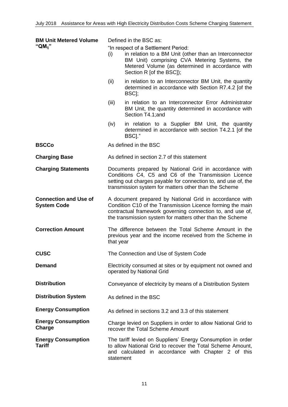| <b>BM Unit Metered Volume</b>                      | Defined in the BSC as:                                                                                                                                                                                                                           |                                                                                                                                                                                                                                |  |
|----------------------------------------------------|--------------------------------------------------------------------------------------------------------------------------------------------------------------------------------------------------------------------------------------------------|--------------------------------------------------------------------------------------------------------------------------------------------------------------------------------------------------------------------------------|--|
| "QM <sub>ii</sub> "                                | (i)                                                                                                                                                                                                                                              | "In respect of a Settlement Period:<br>in relation to a BM Unit (other than an Interconnector<br>BM Unit) comprising CVA Metering Systems, the<br>Metered Volume (as determined in accordance with<br>Section R [of the BSC]); |  |
|                                                    | (ii)                                                                                                                                                                                                                                             | in relation to an Interconnector BM Unit, the quantity<br>determined in accordance with Section R7.4.2 [of the<br>BSC];                                                                                                        |  |
|                                                    | (iii)                                                                                                                                                                                                                                            | in relation to an Interconnector Error Administrator<br>BM Unit, the quantity determined in accordance with<br>Section T4.1; and                                                                                               |  |
|                                                    | (iv)                                                                                                                                                                                                                                             | in relation to a Supplier BM Unit, the quantity<br>determined in accordance with section T4.2.1 [of the<br>BSC]."                                                                                                              |  |
| <b>BSCCo</b>                                       |                                                                                                                                                                                                                                                  | As defined in the BSC                                                                                                                                                                                                          |  |
| <b>Charging Base</b>                               |                                                                                                                                                                                                                                                  | As defined in section 2.7 of this statement                                                                                                                                                                                    |  |
| <b>Charging Statements</b>                         | Documents prepared by National Grid in accordance with<br>Conditions C4, C5 and C6 of the Transmission Licence<br>setting out charges payable for connection to, and use of, the<br>transmission system for matters other than the Scheme        |                                                                                                                                                                                                                                |  |
| <b>Connection and Use of</b><br><b>System Code</b> | A document prepared by National Grid in accordance with<br>Condition C10 of the Transmission Licence forming the main<br>contractual framework governing connection to, and use of,<br>the transmission system for matters other than the Scheme |                                                                                                                                                                                                                                |  |
| <b>Correction Amount</b>                           | The difference between the Total Scheme Amount in the<br>previous year and the income received from the Scheme in<br>that year                                                                                                                   |                                                                                                                                                                                                                                |  |
| <b>CUSC</b>                                        | The Connection and Use of System Code                                                                                                                                                                                                            |                                                                                                                                                                                                                                |  |
| <b>Demand</b>                                      | Electricity consumed at sites or by equipment not owned and<br>operated by National Grid                                                                                                                                                         |                                                                                                                                                                                                                                |  |
| <b>Distribution</b>                                | Conveyance of electricity by means of a Distribution System                                                                                                                                                                                      |                                                                                                                                                                                                                                |  |
| <b>Distribution System</b>                         | As defined in the BSC                                                                                                                                                                                                                            |                                                                                                                                                                                                                                |  |
| <b>Energy Consumption</b>                          | As defined in sections 3.2 and 3.3 of this statement                                                                                                                                                                                             |                                                                                                                                                                                                                                |  |
| <b>Energy Consumption</b><br>Charge                | Charge levied on Suppliers in order to allow National Grid to<br>recover the Total Scheme Amount                                                                                                                                                 |                                                                                                                                                                                                                                |  |
| <b>Energy Consumption</b><br><b>Tariff</b>         | statement                                                                                                                                                                                                                                        | The tariff levied on Suppliers' Energy Consumption in order<br>to allow National Grid to recover the Total Scheme Amount,<br>and calculated in accordance with Chapter 2 of this                                               |  |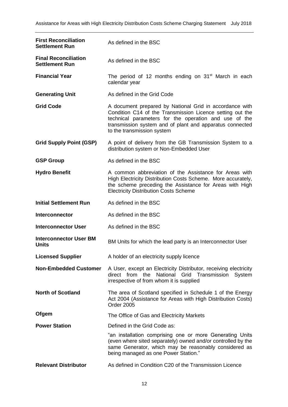| <b>First Reconciliation</b><br><b>Settlement Run</b> | As defined in the BSC                                                                                                                                                                                                                                                   |
|------------------------------------------------------|-------------------------------------------------------------------------------------------------------------------------------------------------------------------------------------------------------------------------------------------------------------------------|
| <b>Final Reconciliation</b><br><b>Settlement Run</b> | As defined in the BSC                                                                                                                                                                                                                                                   |
| <b>Financial Year</b>                                | The period of 12 months ending on $31st$ March in each<br>calendar year                                                                                                                                                                                                 |
| <b>Generating Unit</b>                               | As defined in the Grid Code                                                                                                                                                                                                                                             |
| <b>Grid Code</b>                                     | A document prepared by National Grid in accordance with<br>Condition C14 of the Transmission Licence setting out the<br>technical parameters for the operation and use of the<br>transmission system and of plant and apparatus connected<br>to the transmission system |
| <b>Grid Supply Point (GSP)</b>                       | A point of delivery from the GB Transmission System to a<br>distribution system or Non-Embedded User                                                                                                                                                                    |
| <b>GSP Group</b>                                     | As defined in the BSC                                                                                                                                                                                                                                                   |
| <b>Hydro Benefit</b>                                 | A common abbreviation of the Assistance for Areas with<br>High Electricity Distribution Costs Scheme. More accurately,<br>the scheme preceding the Assistance for Areas with High<br><b>Electricity Distribution Costs Scheme</b>                                       |
| <b>Initial Settlement Run</b>                        | As defined in the BSC                                                                                                                                                                                                                                                   |
| <b>Interconnector</b>                                | As defined in the BSC                                                                                                                                                                                                                                                   |
| <b>Interconnector User</b>                           | As defined in the BSC                                                                                                                                                                                                                                                   |
| <b>Interconnector User BM</b><br>Units               | BM Units for which the lead party is an Interconnector User                                                                                                                                                                                                             |
| <b>Licensed Supplier</b>                             | A holder of an electricity supply licence                                                                                                                                                                                                                               |
| <b>Non-Embedded Customer</b>                         | A User, except an Electricity Distributor, receiving electricity<br>direct from the National Grid Transmission<br>System<br>irrespective of from whom it is supplied                                                                                                    |
| <b>North of Scotland</b>                             | The area of Scotland specified in Schedule 1 of the Energy<br>Act 2004 (Assistance for Areas with High Distribution Costs)<br>Order 2005                                                                                                                                |
| Ofgem                                                | The Office of Gas and Electricity Markets                                                                                                                                                                                                                               |
| <b>Power Station</b>                                 | Defined in the Grid Code as:                                                                                                                                                                                                                                            |
|                                                      | "an installation comprising one or more Generating Units<br>(even where sited separately) owned and/or controlled by the<br>same Generator, which may be reasonably considered as<br>being managed as one Power Station."                                               |
| <b>Relevant Distributor</b>                          | As defined in Condition C20 of the Transmission Licence                                                                                                                                                                                                                 |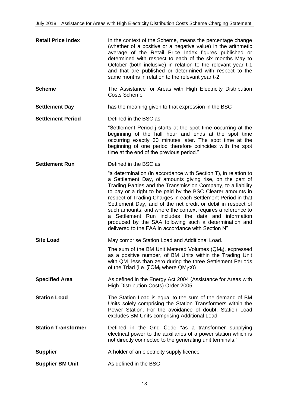| <b>Retail Price Index</b>  | In the context of the Scheme, means the percentage change<br>(whether of a positive or a negative value) in the arithmetic<br>average of the Retail Price Index figures published or<br>determined with respect to each of the six months May to<br>October (both inclusive) in relation to the relevant year t-1<br>and that are published or determined with respect to the<br>same months in relation to the relevant year t-2                                                                                                                                                                                              |
|----------------------------|--------------------------------------------------------------------------------------------------------------------------------------------------------------------------------------------------------------------------------------------------------------------------------------------------------------------------------------------------------------------------------------------------------------------------------------------------------------------------------------------------------------------------------------------------------------------------------------------------------------------------------|
| <b>Scheme</b>              | The Assistance for Areas with High Electricity Distribution<br><b>Costs Scheme</b>                                                                                                                                                                                                                                                                                                                                                                                                                                                                                                                                             |
| <b>Settlement Day</b>      | has the meaning given to that expression in the BSC                                                                                                                                                                                                                                                                                                                                                                                                                                                                                                                                                                            |
| <b>Settlement Period</b>   | Defined in the BSC as:                                                                                                                                                                                                                                                                                                                                                                                                                                                                                                                                                                                                         |
|                            | "Settlement Period j starts at the spot time occurring at the<br>beginning of the half hour and ends at the spot time<br>occurring exactly 30 minutes later. The spot time at the<br>beginning of one period therefore coincides with the spot<br>time at the end of the previous period."                                                                                                                                                                                                                                                                                                                                     |
| <b>Settlement Run</b>      | Defined in the BSC as:                                                                                                                                                                                                                                                                                                                                                                                                                                                                                                                                                                                                         |
|                            | "a determination (in accordance with Section T), in relation to<br>a Settlement Day, of amounts giving rise, on the part of<br>Trading Parties and the Transmission Company, to a liability<br>to pay or a right to be paid by the BSC Clearer amounts in<br>respect of Trading Charges in each Settlement Period in that<br>Settlement Day, and of the net credit or debit in respect of<br>such amounts; and where the context requires a reference to<br>a Settlement Run includes the data and information<br>produced by the SAA following such a determination and<br>delivered to the FAA in accordance with Section N" |
| <b>Site Load</b>           | May comprise Station Load and Additional Load.                                                                                                                                                                                                                                                                                                                                                                                                                                                                                                                                                                                 |
|                            | The sum of the BM Unit Metered Volumes $(QM_{ii})$ , expressed<br>as a positive number, of BM Units within the Trading Unit<br>with QM <sub>ii</sub> less than zero during the three Settlement Periods<br>of the Triad (i.e. $\Sigma QM_{ij}$ where $QM_{ij}$ <0)                                                                                                                                                                                                                                                                                                                                                             |
| <b>Specified Area</b>      | As defined in the Energy Act 2004 (Assistance for Areas with<br>High Distribution Costs) Order 2005                                                                                                                                                                                                                                                                                                                                                                                                                                                                                                                            |
| <b>Station Load</b>        | The Station Load is equal to the sum of the demand of BM<br>Units solely comprising the Station Transformers within the<br>Power Station. For the avoidance of doubt, Station Load<br>excludes BM Units comprising Additional Load                                                                                                                                                                                                                                                                                                                                                                                             |
| <b>Station Transformer</b> | Defined in the Grid Code "as a transformer supplying<br>electrical power to the auxiliaries of a power station which is<br>not directly connected to the generating unit terminals."                                                                                                                                                                                                                                                                                                                                                                                                                                           |
| <b>Supplier</b>            | A holder of an electricity supply licence                                                                                                                                                                                                                                                                                                                                                                                                                                                                                                                                                                                      |
| <b>Supplier BM Unit</b>    | As defined in the BSC                                                                                                                                                                                                                                                                                                                                                                                                                                                                                                                                                                                                          |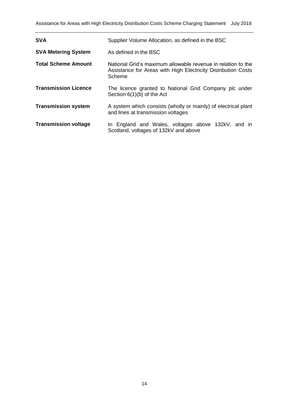| <b>SVA</b>                  | Supplier Volume Allocation, as defined in the BSC                                                                                       |
|-----------------------------|-----------------------------------------------------------------------------------------------------------------------------------------|
| <b>SVA Metering System</b>  | As defined in the BSC                                                                                                                   |
| <b>Total Scheme Amount</b>  | National Grid's maximum allowable revenue in relation to the<br>Assistance for Areas with High Electricity Distribution Costs<br>Scheme |
| <b>Transmission Licence</b> | The licence granted to National Grid Company plc under<br>Section $6(1)(b)$ of the Act                                                  |
| <b>Transmission system</b>  | A system which consists (wholly or mainly) of electrical plant<br>and lines at transmission voltages                                    |
| <b>Transmission voltage</b> | In England and Wales, voltages above 132kV, and in<br>Scotland, voltages of 132kV and above                                             |